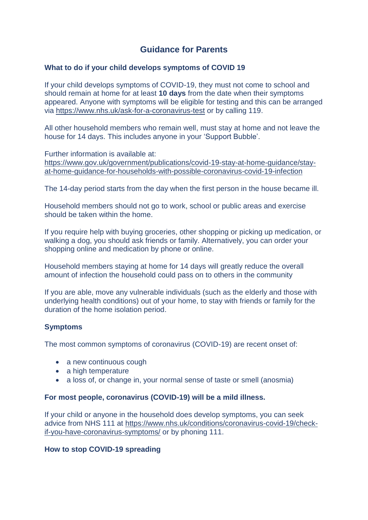# **Guidance for Parents**

#### **What to do if your child develops symptoms of COVID 19**

If your child develops symptoms of COVID-19, they must not come to school and should remain at home for at least **10 days** from the date when their symptoms appeared. Anyone with symptoms will be eligible for testing and this can be arranged via<https://www.nhs.uk/ask-for-a-coronavirus-test> or by calling 119.

All other household members who remain well, must stay at home and not leave the house for 14 days. This includes anyone in your 'Support Bubble'.

Further information is available at: [https://www.gov.uk/government/publications/covid-19-stay-at-home-guidance/stay](https://www.gov.uk/government/publications/covid-19-stay-at-home-guidance/stay-at-home-guidance-for-households-with-possible-coronavirus-covid-19-infection)[at-home-guidance-for-households-with-possible-coronavirus-covid-19-infection](https://www.gov.uk/government/publications/covid-19-stay-at-home-guidance/stay-at-home-guidance-for-households-with-possible-coronavirus-covid-19-infection)

The 14-day period starts from the day when the first person in the house became ill.

Household members should not go to work, school or public areas and exercise should be taken within the home.

If you require help with buying groceries, other shopping or picking up medication, or walking a dog, you should ask friends or family. Alternatively, you can order your shopping online and medication by phone or online.

Household members staying at home for 14 days will greatly reduce the overall amount of infection the household could pass on to others in the community

If you are able, move any vulnerable individuals (such as the elderly and those with underlying health conditions) out of your home, to stay with friends or family for the duration of the home isolation period.

### **Symptoms**

The most common symptoms of coronavirus (COVID-19) are recent onset of:

- a new continuous cough
- a high temperature
- a loss of, or change in, your normal sense of taste or smell (anosmia)

### **For most people, coronavirus (COVID-19) will be a mild illness.**

If your child or anyone in the household does develop symptoms, you can seek advice from NHS 111 at [https://www.nhs.uk/conditions/coronavirus-covid-19/check](https://www.nhs.uk/conditions/coronavirus-covid-19/check-if-you-have-coronavirus-symptoms/)[if-you-have-coronavirus-symptoms/](https://www.nhs.uk/conditions/coronavirus-covid-19/check-if-you-have-coronavirus-symptoms/) or by phoning 111.

### **How to stop COVID-19 spreading**